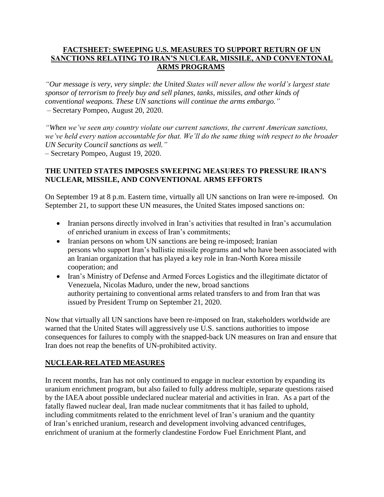## **FACTSHEET: SWEEPING U.S. MEASURES TO SUPPORT RETURN OF UN SANCTIONS RELATING TO IRAN'S NUCLEAR, MISSILE, AND CONVENTONAL ARMS PROGRAMS**

*"Our message is very, very simple: the United States will never allow the world's largest state sponsor of terrorism to freely buy and sell planes, tanks, missiles, and other kinds of conventional weapons. These UN sanctions will continue the arms embargo."* – Secretary Pompeo, August 20, 2020.

*"When we've seen any country violate our current sanctions, the current American sanctions, we've held every nation accountable for that. We'll do the same thing with respect to the broader UN Security Council sanctions as well."* – Secretary Pompeo, August 19, 2020.

### **THE UNITED STATES IMPOSES SWEEPING MEASURES TO PRESSURE IRAN'S NUCLEAR, MISSILE, AND CONVENTIONAL ARMS EFFORTS**

On September 19 at 8 p.m. Eastern time, virtually all UN sanctions on Iran were re-imposed. On September 21, to support these UN measures, the United States imposed sanctions on:

- Iranian persons directly involved in Iran's activities that resulted in Iran's accumulation of enriched uranium in excess of Iran's commitments;
- Iranian persons on whom UN sanctions are being re-imposed; Iranian persons who support Iran's ballistic missile programs and who have been associated with an Iranian organization that has played a key role in Iran-North Korea missile cooperation; and
- Iran's Ministry of Defense and Armed Forces Logistics and the illegitimate dictator of Venezuela, Nicolas Maduro, under the new, broad sanctions authority pertaining to conventional arms related transfers to and from Iran that was issued by President Trump on September 21, 2020.

Now that virtually all UN sanctions have been re-imposed on Iran, stakeholders worldwide are warned that the United States will aggressively use U.S. sanctions authorities to impose consequences for failures to comply with the snapped-back UN measures on Iran and ensure that Iran does not reap the benefits of UN-prohibited activity.

## **NUCLEAR-RELATED MEASURES**

In recent months, Iran has not only continued to engage in nuclear extortion by expanding its uranium enrichment program, but also failed to fully address multiple, separate questions raised by the IAEA about possible undeclared nuclear material and activities in Iran. As a part of the fatally flawed nuclear deal, Iran made nuclear commitments that it has failed to uphold, including commitments related to the enrichment level of Iran's uranium and the quantity of Iran's enriched uranium, research and development involving advanced centrifuges, enrichment of uranium at the formerly clandestine Fordow Fuel Enrichment Plant, and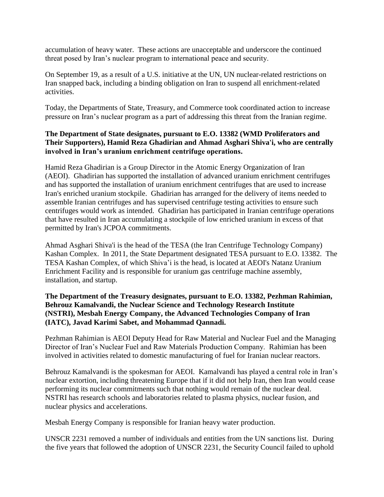accumulation of heavy water. These actions are unacceptable and underscore the continued threat posed by Iran's nuclear program to international peace and security.

On September 19, as a result of a U.S. initiative at the UN, UN nuclear-related restrictions on Iran snapped back, including a binding obligation on Iran to suspend all enrichment-related activities.

Today, the Departments of State, Treasury, and Commerce took coordinated action to increase pressure on Iran's nuclear program as a part of addressing this threat from the Iranian regime.

## **The Department of State designates, pursuant to E.O. 13382 (WMD Proliferators and Their Supporters), Hamid Reza Ghadirian and Ahmad Asghari Shiva'i, who are centrally involved in Iran's uranium enrichment centrifuge operations.**

Hamid Reza Ghadirian is a Group Director in the Atomic Energy Organization of Iran (AEOI). Ghadirian has supported the installation of advanced uranium enrichment centrifuges and has supported the installation of uranium enrichment centrifuges that are used to increase Iran's enriched uranium stockpile. Ghadirian has arranged for the delivery of items needed to assemble Iranian centrifuges and has supervised centrifuge testing activities to ensure such centrifuges would work as intended. Ghadirian has participated in Iranian centrifuge operations that have resulted in Iran accumulating a stockpile of low enriched uranium in excess of that permitted by Iran's JCPOA commitments.

Ahmad Asghari Shiva'i is the head of the TESA (the Iran Centrifuge Technology Company) Kashan Complex. In 2011, the State Department designated TESA pursuant to E.O. 13382. The TESA Kashan Complex, of which Shiva'i is the head, is located at AEOI's Natanz Uranium Enrichment Facility and is responsible for uranium gas centrifuge machine assembly, installation, and startup.

## **The Department of the Treasury designates, pursuant to E.O. 13382, Pezhman Rahimian, Behrouz Kamalvandi, the Nuclear Science and Technology Research Institute (NSTRI), Mesbah Energy Company, the Advanced Technologies Company of Iran (IATC), Javad Karimi Sabet, and Mohammad Qannadi.**

Pezhman Rahimian is AEOI Deputy Head for Raw Material and Nuclear Fuel and the Managing Director of Iran's Nuclear Fuel and Raw Materials Production Company. Rahimian has been involved in activities related to domestic manufacturing of fuel for Iranian nuclear reactors.

Behrouz Kamalvandi is the spokesman for AEOI. Kamalvandi has played a central role in Iran's nuclear extortion, including threatening Europe that if it did not help Iran, then Iran would cease performing its nuclear commitments such that nothing would remain of the nuclear deal. NSTRI has research schools and laboratories related to plasma physics, nuclear fusion, and nuclear physics and accelerations.

Mesbah Energy Company is responsible for Iranian heavy water production.

UNSCR 2231 removed a number of individuals and entities from the UN sanctions list. During the five years that followed the adoption of UNSCR 2231, the Security Council failed to uphold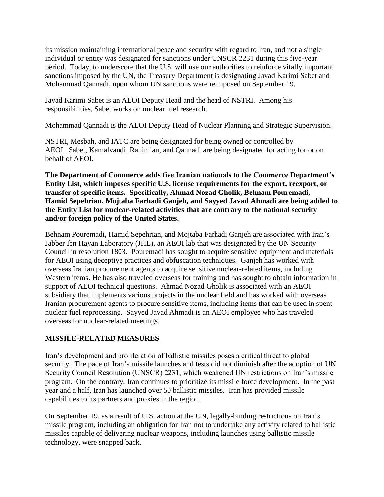its mission maintaining international peace and security with regard to Iran, and not a single individual or entity was designated for sanctions under UNSCR 2231 during this five-year period. Today, to underscore that the U.S. will use our authorities to reinforce vitally important sanctions imposed by the UN, the Treasury Department is designating Javad Karimi Sabet and Mohammad Qannadi, upon whom UN sanctions were reimposed on September 19.

Javad Karimi Sabet is an AEOI Deputy Head and the head of NSTRI. Among his responsibilities, Sabet works on nuclear fuel research.

Mohammad Qannadi is the AEOI Deputy Head of Nuclear Planning and Strategic Supervision.

NSTRI, Mesbah, and IATC are being designated for being owned or controlled by AEOI. Sabet, Kamalvandi, Rahimian, and Qannadi are being designated for acting for or on behalf of AEOI.

**The Department of Commerce adds five Iranian nationals to the Commerce Department's Entity List, which imposes specific U.S. license requirements for the export, reexport, or transfer of specific items. Specifically, Ahmad Nozad Gholik, Behnam Pouremadi, Hamid Sepehrian, Mojtaba Farhadi Ganjeh, and Sayyed Javad Ahmadi are being added to the Entity List for nuclear-related activities that are contrary to the national security and/or foreign policy of the United States.**

Behnam Pouremadi, Hamid Sepehrian, and Mojtaba Farhadi Ganjeh are associated with Iran's Jabber Ibn Hayan Laboratory (JHL), an AEOI lab that was designated by the UN Security Council in resolution 1803. Pouremadi has sought to acquire sensitive equipment and materials for AEOI using deceptive practices and obfuscation techniques. Ganjeh has worked with overseas Iranian procurement agents to acquire sensitive nuclear-related items, including Western items. He has also traveled overseas for training and has sought to obtain information in support of AEOI technical questions. Ahmad Nozad Gholik is associated with an AEOI subsidiary that implements various projects in the nuclear field and has worked with overseas Iranian procurement agents to procure sensitive items, including items that can be used in spent nuclear fuel reprocessing. Sayyed Javad Ahmadi is an AEOI employee who has traveled overseas for nuclear-related meetings.

# **MISSILE-RELATED MEASURES**

Iran's development and proliferation of ballistic missiles poses a critical threat to global security. The pace of Iran's missile launches and tests did not diminish after the adoption of UN Security Council Resolution (UNSCR) 2231, which weakened UN restrictions on Iran's missile program. On the contrary, Iran continues to prioritize its missile force development. In the past year and a half, Iran has launched over 50 ballistic missiles. Iran has provided missile capabilities to its partners and proxies in the region.

On September 19, as a result of U.S. action at the UN, legally-binding restrictions on Iran's missile program, including an obligation for Iran not to undertake any activity related to ballistic missiles capable of delivering nuclear weapons, including launches using ballistic missile technology, were snapped back.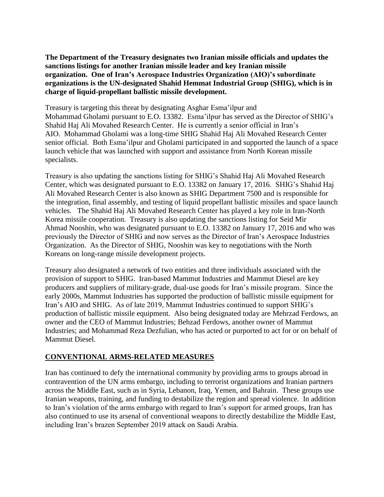**The Department of the Treasury designates two Iranian missile officials and updates the sanctions listings for another Iranian missile leader and key Iranian missile organization. One of Iran's Aerospace Industries Organization (AIO)'s subordinate organizations is the UN-designated Shahid Hemmat Industrial Group (SHIG), which is in charge of liquid-propellant ballistic missile development.**

Treasury is targeting this threat by designating Asghar Esma'ilpur and Mohammad Gholami pursuant to E.O. 13382. Esma'ilpur has served as the Director of SHIG's Shahid Haj Ali Movahed Research Center. He is currently a senior official in Iran's AIO. Mohammad Gholami was a long-time SHIG Shahid Haj Ali Movahed Research Center senior official. Both Esma'ilpur and Gholami participated in and supported the launch of a space launch vehicle that was launched with support and assistance from North Korean missile specialists.

Treasury is also updating the sanctions listing for SHIG's Shahid Haj Ali Movahed Research Center, which was designated pursuant to E.O. 13382 on January 17, 2016. SHIG's Shahid Haj Ali Movahed Research Center is also known as SHIG Department 7500 and is responsible for the integration, final assembly, and testing of liquid propellant ballistic missiles and space launch vehicles. The Shahid Haj Ali Movahed Research Center has played a key role in Iran-North Korea missile cooperation. Treasury is also updating the sanctions listing for Seid Mir Ahmad Nooshin, who was designated pursuant to E.O. 13382 on January 17, 2016 and who was previously the Director of SHIG and now serves as the Director of Iran's Aerospace Industries Organization. As the Director of SHIG, Nooshin was key to negotiations with the North Koreans on long-range missile development projects.

Treasury also designated a network of two entities and three individuals associated with the provision of support to SHIG. Iran-based Mammut Industries and Mammut Diesel are key producers and suppliers of military-grade, dual-use goods for Iran's missile program. Since the early 2000s, Mammut Industries has supported the production of ballistic missile equipment for Iran's AIO and SHIG. As of late 2019, Mammut Industries continued to support SHIG's production of ballistic missile equipment. Also being designated today are Mehrzad Ferdows, an owner and the CEO of Mammut Industries; Behzad Ferdows, another owner of Mammut Industries; and Mohammad Reza Dezfulian, who has acted or purported to act for or on behalf of Mammut Diesel.

## **CONVENTIONAL ARMS-RELATED MEASURES**

Iran has continued to defy the international community by providing arms to groups abroad in contravention of the UN arms embargo, including to terrorist organizations and Iranian partners across the Middle East, such as in Syria, Lebanon, Iraq, Yemen, and Bahrain. These groups use Iranian weapons, training, and funding to destabilize the region and spread violence. In addition to Iran's violation of the arms embargo with regard to Iran's support for armed groups, Iran has also continued to use its arsenal of conventional weapons to directly destabilize the Middle East, including Iran's brazen September 2019 attack on Saudi Arabia.